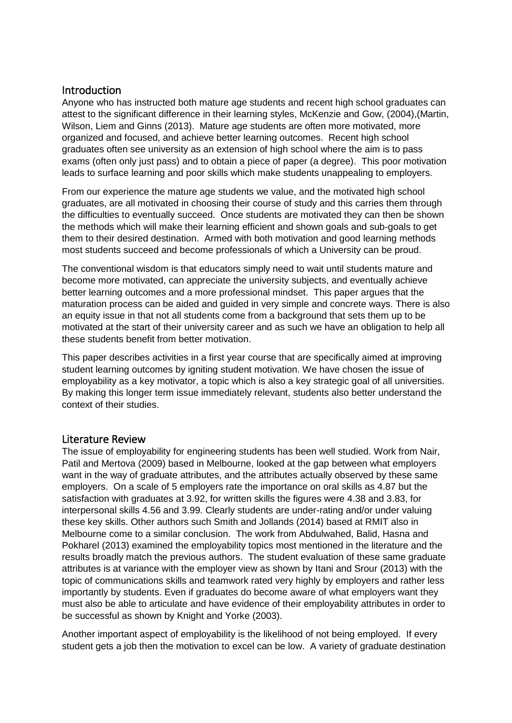## **Introduction**

Anyone who has instructed both mature age students and recent high school graduates can attest to the significant difference in their learning styles, McKenzie and Gow, (2004),(Martin, Wilson, Liem and Ginns (2013). Mature age students are often more motivated, more organized and focused, and achieve better learning outcomes. Recent high school graduates often see university as an extension of high school where the aim is to pass exams (often only just pass) and to obtain a piece of paper (a degree). This poor motivation leads to surface learning and poor skills which make students unappealing to employers.

From our experience the mature age students we value, and the motivated high school graduates, are all motivated in choosing their course of study and this carries them through the difficulties to eventually succeed. Once students are motivated they can then be shown the methods which will make their learning efficient and shown goals and sub-goals to get them to their desired destination. Armed with both motivation and good learning methods most students succeed and become professionals of which a University can be proud.

The conventional wisdom is that educators simply need to wait until students mature and become more motivated, can appreciate the university subjects, and eventually achieve better learning outcomes and a more professional mindset. This paper argues that the maturation process can be aided and guided in very simple and concrete ways. There is also an equity issue in that not all students come from a background that sets them up to be motivated at the start of their university career and as such we have an obligation to help all these students benefit from better motivation.

This paper describes activities in a first year course that are specifically aimed at improving student learning outcomes by igniting student motivation. We have chosen the issue of employability as a key motivator, a topic which is also a key strategic goal of all universities. By making this longer term issue immediately relevant, students also better understand the context of their studies.

### Literature Review

The issue of employability for engineering students has been well studied. Work from Nair, Patil and Mertova (2009) based in Melbourne, looked at the gap between what employers want in the way of graduate attributes, and the attributes actually observed by these same employers. On a scale of 5 employers rate the importance on oral skills as 4.87 but the satisfaction with graduates at 3.92, for written skills the figures were 4.38 and 3.83, for interpersonal skills 4.56 and 3.99. Clearly students are under-rating and/or under valuing these key skills. Other authors such Smith and Jollands (2014) based at RMIT also in Melbourne come to a similar conclusion. The work from Abdulwahed, Balid, Hasna and Pokharel (2013) examined the employability topics most mentioned in the literature and the results broadly match the previous authors. The student evaluation of these same graduate attributes is at variance with the employer view as shown by Itani and Srour (2013) with the topic of communications skills and teamwork rated very highly by employers and rather less importantly by students. Even if graduates do become aware of what employers want they must also be able to articulate and have evidence of their employability attributes in order to be successful as shown by Knight and Yorke (2003).

Another important aspect of employability is the likelihood of not being employed. If every student gets a job then the motivation to excel can be low. A variety of graduate destination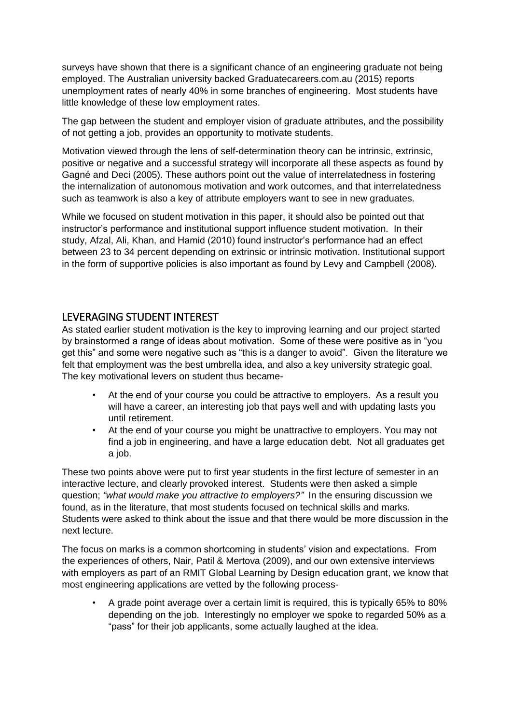surveys have shown that there is a significant chance of an engineering graduate not being employed. The Australian university backed Graduatecareers.com.au (2015) reports unemployment rates of nearly 40% in some branches of engineering. Most students have little knowledge of these low employment rates.

The gap between the student and employer vision of graduate attributes, and the possibility of not getting a job, provides an opportunity to motivate students.

Motivation viewed through the lens of self-determination theory can be intrinsic, extrinsic, positive or negative and a successful strategy will incorporate all these aspects as found by Gagné and Deci (2005). These authors point out the value of interrelatedness in fostering the internalization of autonomous motivation and work outcomes, and that interrelatedness such as teamwork is also a key of attribute employers want to see in new graduates.

While we focused on student motivation in this paper, it should also be pointed out that instructor's performance and institutional support influence student motivation. In their study, Afzal, Ali, Khan, and Hamid (2010) found instructor's performance had an effect between 23 to 34 percent depending on extrinsic or intrinsic motivation. Institutional support in the form of supportive policies is also important as found by Levy and Campbell (2008).

# LEVERAGING STUDENT INTEREST

As stated earlier student motivation is the key to improving learning and our project started by brainstormed a range of ideas about motivation. Some of these were positive as in "you get this" and some were negative such as "this is a danger to avoid". Given the literature we felt that employment was the best umbrella idea, and also a key university strategic goal. The key motivational levers on student thus became-

- At the end of your course you could be attractive to employers. As a result you will have a career, an interesting job that pays well and with updating lasts you until retirement.
- At the end of your course you might be unattractive to employers. You may not find a job in engineering, and have a large education debt. Not all graduates get a job.

These two points above were put to first year students in the first lecture of semester in an interactive lecture, and clearly provoked interest. Students were then asked a simple question; *"what would make you attractive to employers?"* In the ensuring discussion we found, as in the literature, that most students focused on technical skills and marks. Students were asked to think about the issue and that there would be more discussion in the next lecture.

The focus on marks is a common shortcoming in students' vision and expectations. From the experiences of others, Nair, Patil & Mertova (2009), and our own extensive interviews with employers as part of an RMIT Global Learning by Design education grant, we know that most engineering applications are vetted by the following process-

• A grade point average over a certain limit is required, this is typically 65% to 80% depending on the job. Interestingly no employer we spoke to regarded 50% as a "pass" for their job applicants, some actually laughed at the idea.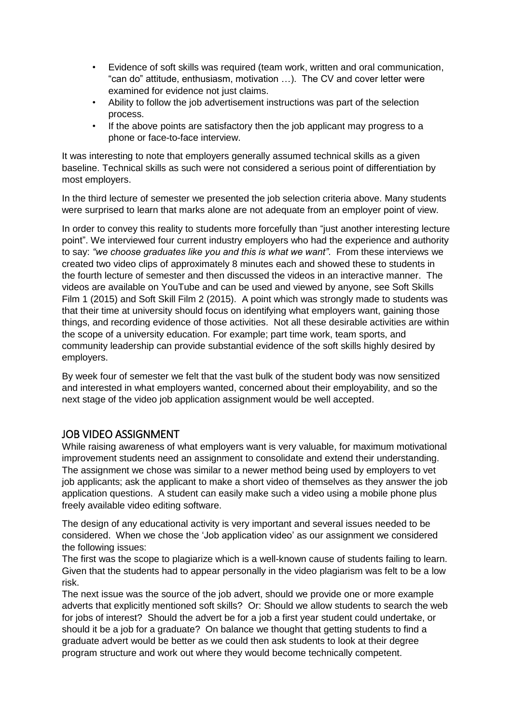- Evidence of soft skills was required (team work, written and oral communication, "can do" attitude, enthusiasm, motivation …). The CV and cover letter were examined for evidence not just claims.
- Ability to follow the job advertisement instructions was part of the selection process.
- If the above points are satisfactory then the job applicant may progress to a phone or face-to-face interview.

It was interesting to note that employers generally assumed technical skills as a given baseline. Technical skills as such were not considered a serious point of differentiation by most employers.

In the third lecture of semester we presented the job selection criteria above. Many students were surprised to learn that marks alone are not adequate from an employer point of view.

In order to convey this reality to students more forcefully than "just another interesting lecture point". We interviewed four current industry employers who had the experience and authority to say: *"we choose graduates like you and this is what we want"*. From these interviews we created two video clips of approximately 8 minutes each and showed these to students in the fourth lecture of semester and then discussed the videos in an interactive manner. The videos are available on YouTube and can be used and viewed by anyone, see Soft Skills Film 1 (2015) and Soft Skill Film 2 (2015). A point which was strongly made to students was that their time at university should focus on identifying what employers want, gaining those things, and recording evidence of those activities. Not all these desirable activities are within the scope of a university education. For example; part time work, team sports, and community leadership can provide substantial evidence of the soft skills highly desired by employers.

By week four of semester we felt that the vast bulk of the student body was now sensitized and interested in what employers wanted, concerned about their employability, and so the next stage of the video job application assignment would be well accepted.

# JOB VIDEO ASSIGNMENT

While raising awareness of what employers want is very valuable, for maximum motivational improvement students need an assignment to consolidate and extend their understanding. The assignment we chose was similar to a newer method being used by employers to vet job applicants; ask the applicant to make a short video of themselves as they answer the job application questions. A student can easily make such a video using a mobile phone plus freely available video editing software.

The design of any educational activity is very important and several issues needed to be considered. When we chose the 'Job application video' as our assignment we considered the following issues:

The first was the scope to plagiarize which is a well-known cause of students failing to learn. Given that the students had to appear personally in the video plagiarism was felt to be a low risk.

The next issue was the source of the job advert, should we provide one or more example adverts that explicitly mentioned soft skills? Or: Should we allow students to search the web for jobs of interest? Should the advert be for a job a first year student could undertake, or should it be a job for a graduate? On balance we thought that getting students to find a graduate advert would be better as we could then ask students to look at their degree program structure and work out where they would become technically competent.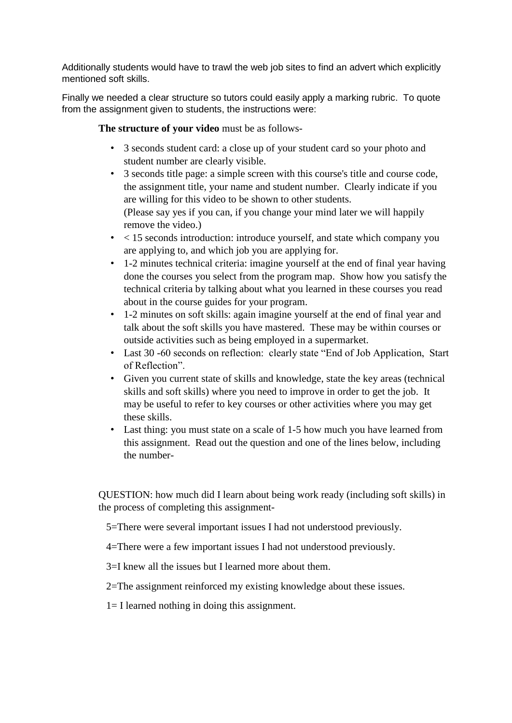Additionally students would have to trawl the web job sites to find an advert which explicitly mentioned soft skills.

Finally we needed a clear structure so tutors could easily apply a marking rubric. To quote from the assignment given to students, the instructions were:

**The structure of your video** must be as follows-

- 3 seconds student card: a close up of your student card so your photo and student number are clearly visible.
- 3 seconds title page: a simple screen with this course's title and course code, the assignment title, your name and student number. Clearly indicate if you are willing for this video to be shown to other students. (Please say yes if you can, if you change your mind later we will happily remove the video.)
- $\lt 15$  seconds introduction: introduce yourself, and state which company you are applying to, and which job you are applying for.
- 1-2 minutes technical criteria: imagine yourself at the end of final year having done the courses you select from the program map. Show how you satisfy the technical criteria by talking about what you learned in these courses you read about in the course guides for your program.
- 1-2 minutes on soft skills: again imagine yourself at the end of final year and talk about the soft skills you have mastered. These may be within courses or outside activities such as being employed in a supermarket.
- Last 30 -60 seconds on reflection: clearly state "End of Job Application, Start" of Reflection".
- Given you current state of skills and knowledge, state the key areas (technical skills and soft skills) where you need to improve in order to get the job. It may be useful to refer to key courses or other activities where you may get these skills.
- Last thing: you must state on a scale of 1-5 how much you have learned from this assignment. Read out the question and one of the lines below, including the number-

QUESTION: how much did I learn about being work ready (including soft skills) in the process of completing this assignment-

5=There were several important issues I had not understood previously.

- 4=There were a few important issues I had not understood previously.
- 3=I knew all the issues but I learned more about them.

2=The assignment reinforced my existing knowledge about these issues.

1= I learned nothing in doing this assignment.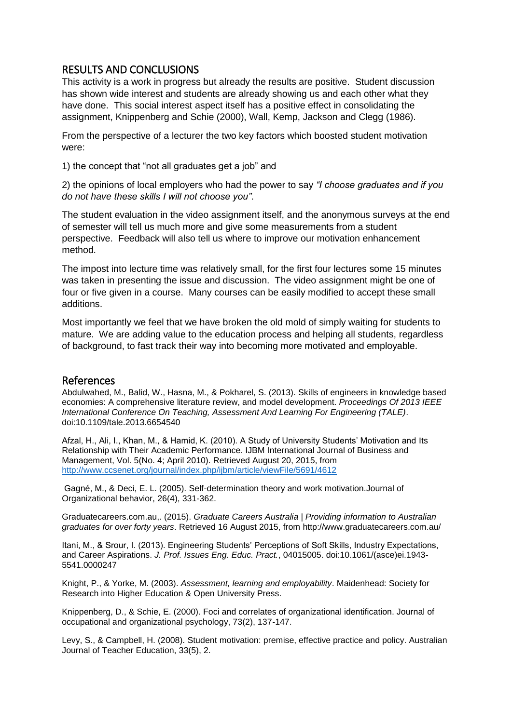# RESULTS AND CONCLUSIONS

This activity is a work in progress but already the results are positive. Student discussion has shown wide interest and students are already showing us and each other what they have done. This social interest aspect itself has a positive effect in consolidating the assignment, Knippenberg and Schie (2000), Wall, Kemp, Jackson and Clegg (1986).

From the perspective of a lecturer the two key factors which boosted student motivation were:

1) the concept that "not all graduates get a job" and

2) the opinions of local employers who had the power to say *"I choose graduates and if you do not have these skills I will not choose you"*.

The student evaluation in the video assignment itself, and the anonymous surveys at the end of semester will tell us much more and give some measurements from a student perspective. Feedback will also tell us where to improve our motivation enhancement method.

The impost into lecture time was relatively small, for the first four lectures some 15 minutes was taken in presenting the issue and discussion. The video assignment might be one of four or five given in a course. Many courses can be easily modified to accept these small additions.

Most importantly we feel that we have broken the old mold of simply waiting for students to mature. We are adding value to the education process and helping all students, regardless of background, to fast track their way into becoming more motivated and employable.

#### References

Abdulwahed, M., Balid, W., Hasna, M., & Pokharel, S. (2013). Skills of engineers in knowledge based economies: A comprehensive literature review, and model development. *Proceedings Of 2013 IEEE International Conference On Teaching, Assessment And Learning For Engineering (TALE)*. doi:10.1109/tale.2013.6654540

Afzal, H., Ali, I., Khan, M., & Hamid, K. (2010). A Study of University Students' Motivation and Its Relationship with Their Academic Performance. IJBM International Journal of Business and Management, Vol. 5(No. 4; April 2010). Retrieved August 20, 2015, from <http://www.ccsenet.org/journal/index.php/ijbm/article/viewFile/5691/4612>

Gagné, M., & Deci, E. L. (2005). Self-determination theory and work motivation.Journal of Organizational behavior, 26(4), 331-362.

Graduatecareers.com.au,. (2015). *Graduate Careers Australia | Providing information to Australian graduates for over forty years*. Retrieved 16 August 2015, from http://www.graduatecareers.com.au/

Itani, M., & Srour, I. (2013). Engineering Students' Perceptions of Soft Skills, Industry Expectations, and Career Aspirations. *J. Prof. Issues Eng. Educ. Pract.*, 04015005. doi:10.1061/(asce)ei.1943- 5541.0000247

Knight, P., & Yorke, M. (2003). *Assessment, learning and employability*. Maidenhead: Society for Research into Higher Education & Open University Press.

Knippenberg, D., & Schie, E. (2000). Foci and correlates of organizational identification. Journal of occupational and organizational psychology, 73(2), 137-147.

Levy, S., & Campbell, H. (2008). Student motivation: premise, effective practice and policy. Australian Journal of Teacher Education, 33(5), 2.